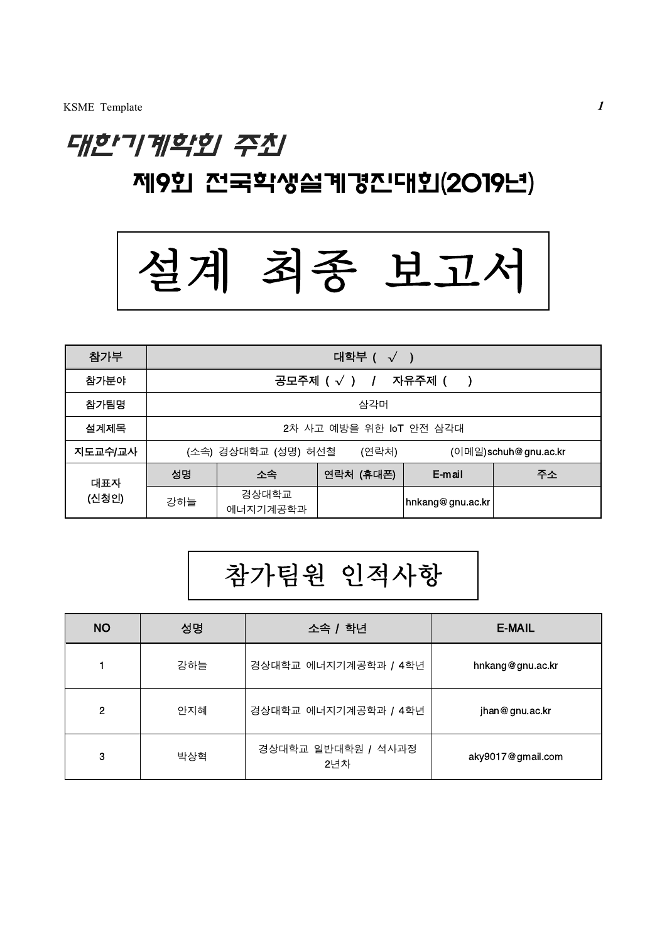## 대한기계학회 주최 제9회 전국학생설계경진대회(2019년)



| 참가부     | 대학부 ( $\sqrt{ }$ )                                   |                   |           |                  |    |
|---------|------------------------------------------------------|-------------------|-----------|------------------|----|
| 참가분야    | 공모주제 $(\sqrt{})$ / 자유주제 (                            |                   |           |                  |    |
| 참가팀명    | 삼각머                                                  |                   |           |                  |    |
| 설계제목    | 2차 사고 예방을 위한 IoT 안전 삼각대                              |                   |           |                  |    |
| 지도교수/교사 | (소속) 경상대학교 (성명) 허선철<br>(연락처)<br>(이메일)schuh@gnu.ac.kr |                   |           |                  |    |
| 대표자     | 성명                                                   | 소속                | 연락처 (휴대폰) | E-mail           | 주소 |
| (신청인)   | 강하늘                                                  | 경상대학교<br>에너지기계공학과 |           | hnkang@gnu.ac.kr |    |

# 참가팀원 인적사항

| <b>NO</b> | 성명  | 소속 / 학년                   | E-MAIL            |
|-----------|-----|---------------------------|-------------------|
|           | 강하늘 | 경상대학교 에너지기계공학과 / 4학년      | hnkang@gnu.ac.kr  |
| 2         | 안지혜 | 경상대학교 에너지기계공학과 / 4학년      | jhan@gnu.ac.kr    |
| 3         | 박상혁 | 경상대학교 일반대학원 / 석사과정<br>2년차 | aky9017@gmail.com |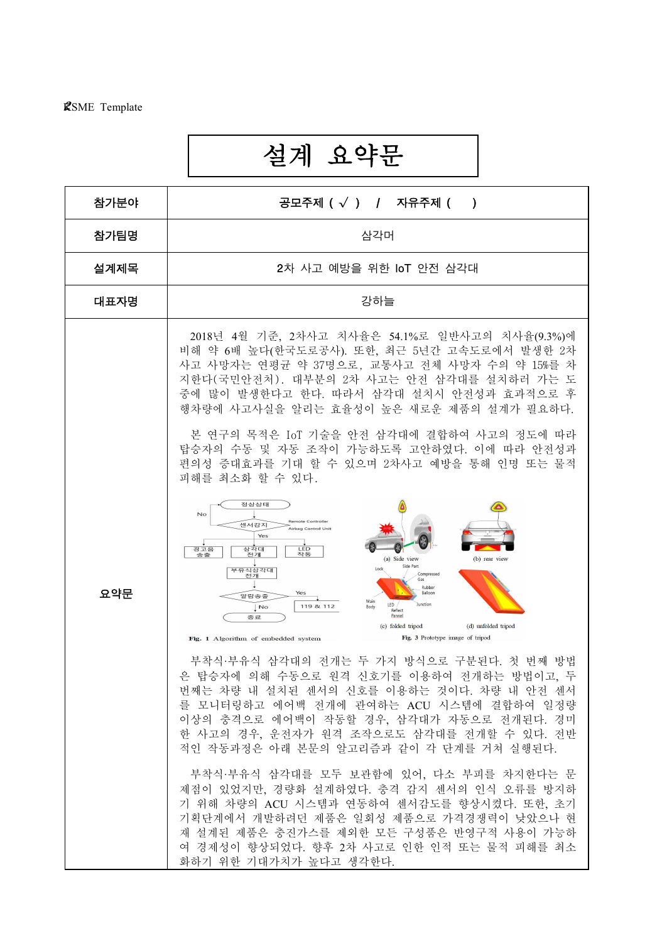l

## 설계 요약문

| 참가분야 | 공모주제 $(\sqrt{})$ / 자유주제 $($ )                                                                                                                                                                                                                                                                                                                                                               |  |  |  |  |  |
|------|---------------------------------------------------------------------------------------------------------------------------------------------------------------------------------------------------------------------------------------------------------------------------------------------------------------------------------------------------------------------------------------------|--|--|--|--|--|
| 참가팀명 | 삼각머                                                                                                                                                                                                                                                                                                                                                                                         |  |  |  |  |  |
| 설계제목 | 2차 사고 예방을 위한 IoT 안전 삼각대                                                                                                                                                                                                                                                                                                                                                                     |  |  |  |  |  |
| 대표자명 | 강하늘                                                                                                                                                                                                                                                                                                                                                                                         |  |  |  |  |  |
|      | 2018년 4월 기준, 2차사고 치사율은 54.1%로 일반사고의 치사율(9.3%)에<br>비해 약 6배 높다(한국도로공사). 또한, 최근 5년간 고속도로에서 발생한 2차<br>사고 사망자는 연평균 약 37명으로, 교통사고 전체 사망자 수의 약 15%를 차<br>지한다(국민안전처). 대부분의 2차 사고는 안전 삼각대를 설치하러 가는 도<br>중에 많이 발생한다고 한다. 따라서 삼각대 설치시 안전성과 효과적으로 후<br>행차량에 사고사실을 알리는 효율성이 높은 새로운 제품의 설계가 필요하다.                                                                                                         |  |  |  |  |  |
|      | 본 연구의 목적은 IoT 기술을 안전 삼각대에 결합하여 사고의 정도에 따라<br>탑승자의 수동 및 자동 조작이 가능하도록 고안하였다. 이에 따라 안전성과<br>편의성 증대효과를 기대 할 수 있으며 2차사고 예방을 통해 인명 또는 물적<br>피해를 최소화 할 수 있다.                                                                                                                                                                                                                                       |  |  |  |  |  |
| 요약문  | 정상상태<br>No<br><b>Remote Controller</b><br>센서감지<br>Airbag Control Unit<br>Yes<br>LED<br>경고음<br>삼각대<br>전개<br>작동<br>송출<br>(b) rear view<br>(a) Side view<br>Side Part<br>Lock<br>부유식삼각대<br>전개<br>Compressed<br>Gas<br>Rubber<br>Balloon<br>Yes<br>알람송출<br>Main<br>LED<br>Junction<br>119 & 112<br>Body<br>No<br>Reflect<br>Pannel<br>종료<br>(c) folded tripod<br>(d) unfolded tripod            |  |  |  |  |  |
|      | Fig. 3 Prototype image of tripod<br>Fig. 1 Algorithm of embedded system<br>부착식 부유식 삼각대의 전개는 두 가지 방식으로 구분된다. 첫 번째 방법<br>은 탑승자에 의해 수동으로 원격 신호기를 이용하여 전개하는 방법이고, 두<br>번째는 차량 내 설치된 센서의 신호를 이용하는 것이다. 차량 내 안전 센서<br>를 모니터링하고 에어백 전개에 관여하는 ACU 시스템에 결합하여 일정량<br>이상의 충격으로 에어백이 작동할 경우, 삼각대가 자동으로 전개된다. 경미<br>한 사고의 경우, 운전자가 원격 조작으로도 삼각대를 전개할 수 있다. 전반<br>적인 작동과정은 아래 본문의 알고리즘과 같이 각 단계를 거쳐 실행된다. |  |  |  |  |  |
|      | 부착식 부유식 삼각대를 모두 보관함에 있어, 다소 부피를 차지한다는 문<br>제점이 있었지만, 경량화 설계하였다. 충격 감지 센서의 인식 오류를 방지하<br>기 위해 차량의 ACU 시스템과 연동하여 센서감도를 향상시켰다. 또한, 초기<br>기획단계에서 개발하려던 제품은 일회성 제품으로 가격경쟁력이 낮았으나 현<br>재 설계된 제품은 충진가스를 제외한 모든 구성품은 반영구적 사용이 가능하<br>여 경제성이 향상되었다. 향후 2차 사고로 인한 인적 또는 물적 피해를 최소<br>화하기 위한 기대가치가 높다고 생각한다.                                                                                           |  |  |  |  |  |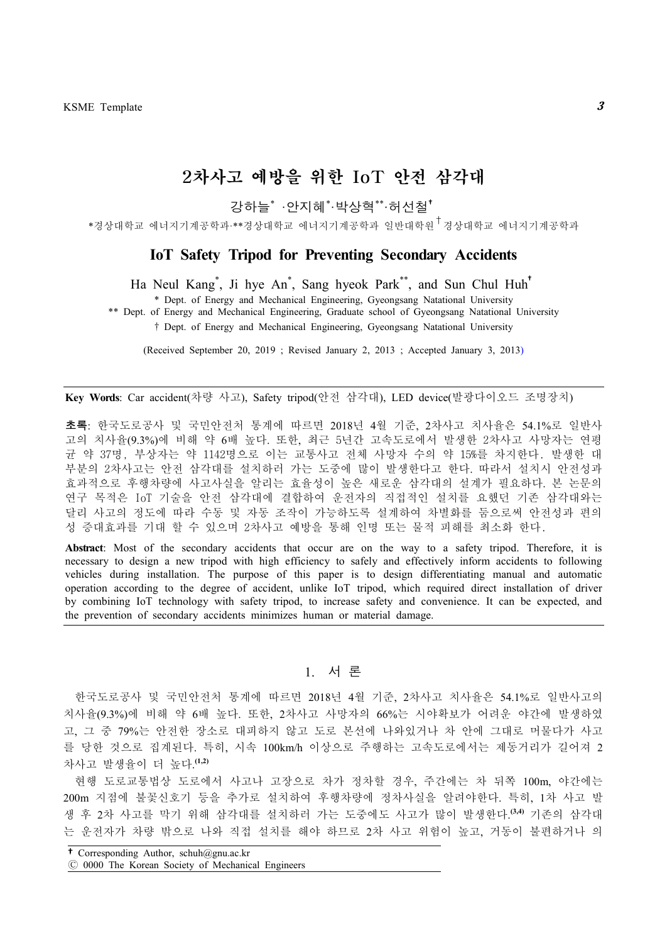### 2차사고 예방을 위한 IoT 안전 삼각대

강하늘\* ·안지혜\*·박상혁\*\*·허선철†

\*경상대학교 에너지기계공학과·\*\*경상대학교 에너지기계공학과 일반대학원†경상대학교 에너지기계공학과

### **IoT Safety Tripod for Preventing Secondary Accidents**

Ha Neul Kang\* , Ji hye An\* , Sang hyeok Park\*\* , and Sun Chul Huh†

\* Dept. of Energy and Mechanical Engineering, Gyeongsang Natational University

\*\* Dept. of Energy and Mechanical Engineering, Graduate school of Gyeongsang Natational University

† Dept. of Energy and Mechanical Engineering, Gyeongsang Natational University

(Received September 20, 2019 ; Revised January 2, 2013 ; Accepted January 3, 2013)

**Key Words**: Car accident(차량 사고), Safety tripod(안전 삼각대), LED device(발광다이오드 조명장치)

초록: 한국도로공사 및 국민안전처 통계에 따르면 2018년 4월 기준, 2차사고 치사율은 54.1%로 일반사 고의 치사율(9.3%)에 비해 약 6배 높다. 또한, 최근 5년간 고속도로에서 발생한 2차사고 사망자는 연평 균 약 37명, 부상자는 약 1142명으로 이는 교통사고 전체 사망자 수의 약 15%를 차지한다. 발생한 대 부분의 2차사고는 안전 삼각대를 설치하러 가는 도중에 많이 발생한다고 한다. 따라서 설치시 안전성과 효과적으로 후행차량에 사고사실을 알리는 효율성이 높은 새로운 삼각대의 설계가 필요하다. 본 논문의 연구 목적은 IoT 기술을 안전 삼각대에 결합하여 운전자의 직접적인 설치를 요했던 기존 삼각대와는 달리 사고의 정도에 따라 수동 및 자동 조작이 가능하도록 설계하여 차별화를 둠으로써 안전성과 편의 성 증대효과를 기대 할 수 있으며 2차사고 예방을 통해 인명 또는 물적 피해를 최소화 한다.

**Abstract**: Most of the secondary accidents that occur are on the way to a safety tripod. Therefore, it is necessary to design a new tripod with high efficiency to safely and effectively inform accidents to following vehicles during installation. The purpose of this paper is to design differentiating manual and automatic operation according to the degree of accident, unlike IoT tripod, which required direct installation of driver by combining IoT technology with safety tripod, to increase safety and convenience. It can be expected, and the prevention of secondary accidents minimizes human or material damage.

#### 1. 서 론

한국도로공사 및 국민안전처 통계에 따르면 2018년 4월 기준, 2차사고 치사율은 54.1%로 일반사고의 치사율(9.3%)에 비해 약 6배 높다. 또한, 2차사고 사망자의 66%는 시야확보가 어려운 야간에 발생하였 고, 그 중 79%는 안전한 장소로 대피하지 않고 도로 본선에 나와있거나 차 안에 그대로 머물다가 사고 를 당한 것으로 집계된다. 특히, 시속 100km/h 이상으로 주행하는 고속도로에서는 제동거리가 길어져 2 차사고 발생율이 더 높다. **(1,2)**

현행 도로교통법상 도로에서 사고나 고장으로 차가 정차할 경우, 주간에는 차 뒤쪽 100m, 야간에는 200m 지점에 불꽃신호기 등을 추가로 설치하여 후행차량에 정차사실을 알려야한다. 특히, 1차 사고 발 생 후 2차 사고를 막기 위해 삼각대를 설치하러 가는 도중에도 사고가 많이 발생한다. **(3,4)** 기존의 삼각대 는 운전자가 차량 밖으로 나와 직접 설치를 해야 하므로 2차 사고 위험이 높고, 거동이 불편하거나 의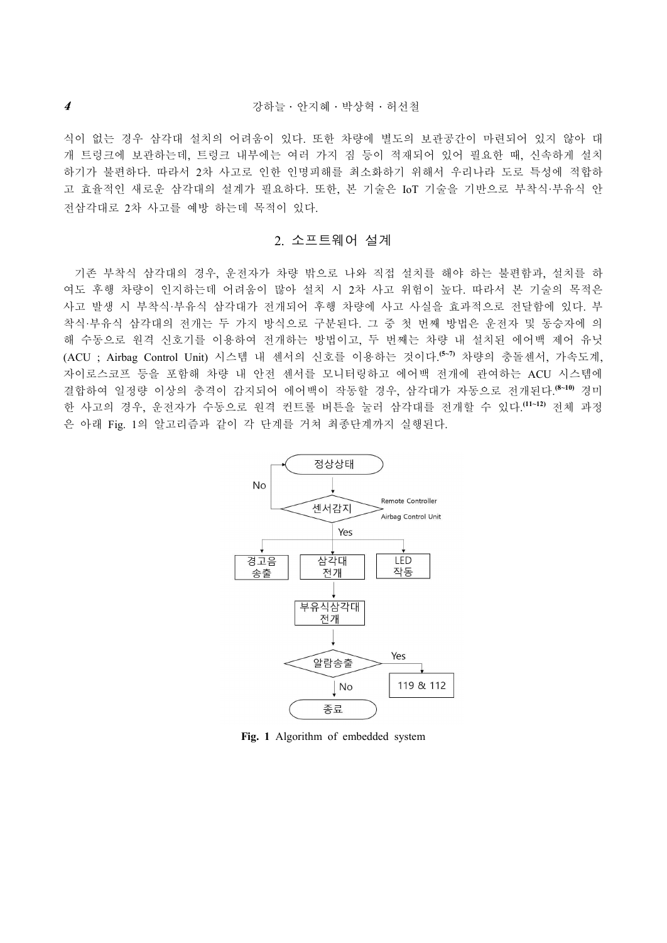식이 없는 경우 삼각대 설치의 어려움이 있다. 또한 차량에 별도의 보관공간이 마련되어 있지 않아 대 개 트렁크에 보관하는데, 트렁크 내부에는 여러 가지 짐 등이 적재되어 있어 필요한 때, 신속하게 설치 하기가 불편하다. 따라서 2차 사고로 인한 인명피해를 최소화하기 위해서 우리나라 도로 특성에 적합하 고 효율적인 새로운 삼각대의 설계가 필요하다. 또한, 본 기술은 IoT 기술을 기반으로 부착식·부유식 안 전삼각대로 2차 사고를 예방 하는데 목적이 있다.

#### 2. 소프트웨어 설계

기존 부착식 삼각대의 경우, 운전자가 차량 밖으로 나와 직접 설치를 해야 하는 불편함과, 설치를 하 여도 후행 차량이 인지하는데 어려움이 많아 설치 시 2차 사고 위험이 높다. 따라서 본 기술의 목적은 사고 발생 시 부착식·부유식 삼각대가 전개되어 후행 차량에 사고 사실을 효과적으로 전달함에 있다. 부 착식·부유식 삼각대의 전개는 두 가지 방식으로 구분된다. 그 중 첫 번째 방법은 운전자 및 동승자에 의 해 수동으로 원격 신호기를 이용하여 전개하는 방법이고, 두 번째는 차량 내 설치된 에어백 제어 유닛 (ACU ; Airbag Control Unit) 시스템 내 센서의 신호를 이용하는 것이다. **(5~7)** 차량의 충돌센서, 가속도계, 자이로스코프 등을 포함해 차량 내 안전 센서를 모니터링하고 에어백 전개에 관여하는 ACU 시스템에 결합하여 일정량 이상의 충격이 감지되어 에어백이 작동할 경우, 삼각대가 자동으로 전개된다. **(8~10)** 경미 한 사고의 경우, 운전자가 수동으로 원격 컨트롤 버튼을 눌러 삼각대를 전개할 수 있다. **(11~12)** 전체 과정 은 아래 Fig. 1의 알고리즘과 같이 각 단계를 거쳐 최종단계까지 실행된다.



**Fig. 1** Algorithm of embedded system

4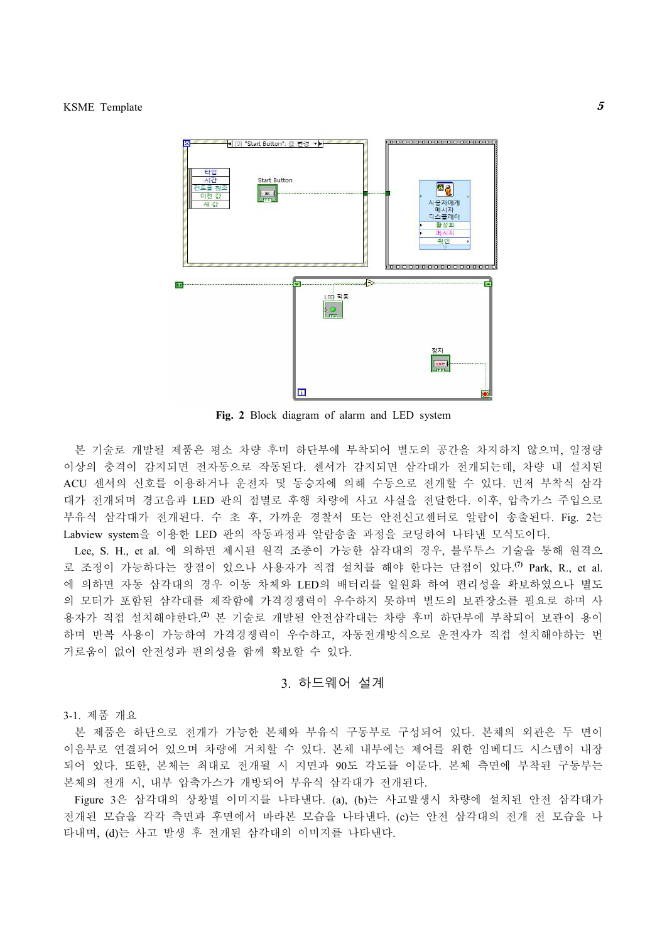

**Fig. 2** Block diagram of alarm and LED system

본 기술로 개발될 제품은 평소 차량 후미 하단부에 부착되어 별도의 공간을 차지하지 않으며, 일정량 이상의 충격이 감지되면 전자동으로 작동된다. 센서가 감지되면 삼각대가 전개되는데, 차량 내 설치된 ACU 센서의 신호를 이용하거나 운전자 및 동승자에 의해 수동으로 전개할 수 있다. 먼저 부착식 삼각 대가 전개되며 경고음과 LED 판의 점멸로 후행 차량에 사고 사실을 전달한다. 이후, 압축가스 주입으로 부유식 삼각대가 전개된다. 수 초 후, 가까운 경찰서 또는 안전신고센터로 알람이 송출된다. Fig. 2는 Labview system을 이용한 LED 판의 작동과정과 알람송출 과정을 코딩하여 나타낸 모식도이다.

Lee, S. H., et al. 에 의하면 제시된 원격 조종이 가능한 삼각대의 경우, 블루투스 기술을 통해 원격으 로 조정이 가능하다는 장점이 있으나 사용자가 직접 설치를 해야 한다는 단점이 있다. **(7)** Park, R., et al. 에 의하면 자동 삼각대의 경우 이동 차체와 LED의 배터리를 일원화 하여 편리성을 확보하였으나 별도 의 모터가 포함된 삼각대를 제작함에 가격경쟁력이 우수하지 못하며 별도의 보관장소를 필요로 하며 사 용자가 직접 설치해야한다. **(2)** 본 기술로 개발될 안전삼각대는 차량 후미 하단부에 부착되어 보관이 용이 하며 반복 사용이 가능하여 가격경쟁력이 우수하고, 자동전개방식으로 운전자가 직접 설치해야하는 번 거로움이 없어 안전성과 편의성을 함께 확보할 수 있다.

#### 3. 하드웨어 설계

3-1. 제품 개요

본 제품은 하단으로 전개가 가능한 본체와 부유식 구동부로 구성되어 있다. 본체의 외관은 두 면이 이음부로 연결되어 있으며 차량에 거치할 수 있다. 본체 내부에는 제어를 위한 임베디드 시스템이 내장 되어 있다. 또한, 본체는 최대로 전개될 시 지면과 90도 각도를 이룬다. 본체 측면에 부착된 구동부는

본체의 전개 시, 내부 압축가스가 개방되어 부유식 삼각대가 전개된다.<br>Figure 3은 삼각대의 상황별 이미지를 나타낸다. (a), (b)는 사고발생시 차량에 설치된 안전 삼각대가 전개된 모습을 각각 측면과 후면에서 바라본 모습을 나타낸다. (c)는 안전 삼각대의 전개 전 모습을 나 타내며, (d)는 사고 발생 후 전개된 삼각대의 이미지를 나타낸다.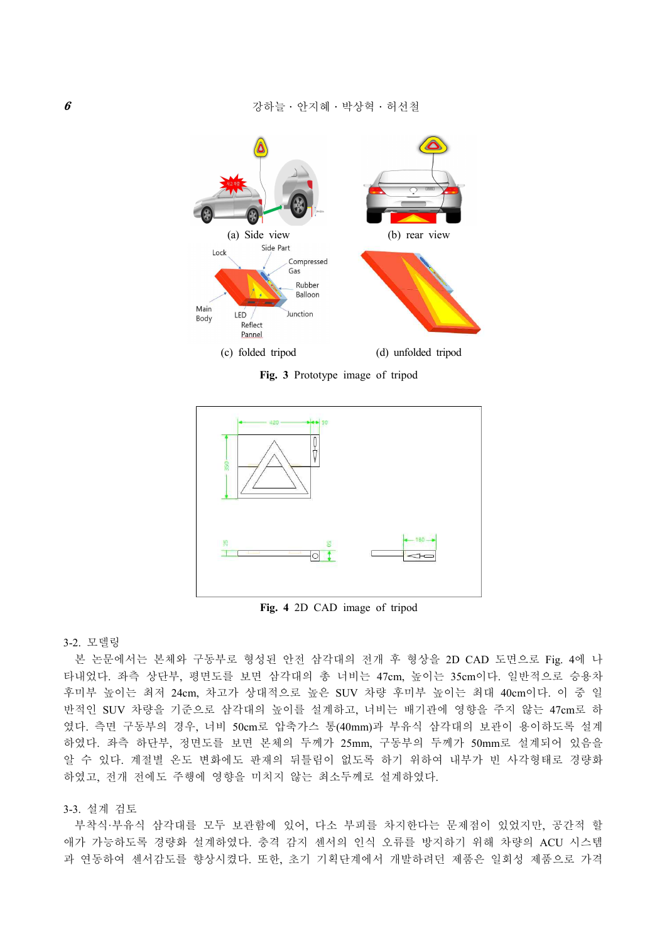

**Fig. 3** Prototype image of tripod



**Fig. 4** 2D CAD image of tripod

#### 3-2. 모델링

본 논문에서는 본체와 구동부로 형성된 안전 삼각대의 전개 후 형상을 2D CAD 도면으로 Fig. 4에 나 타내었다. 좌측 상단부, 평면도를 보면 삼각대의 총 너비는 47cm, 높이는 35cm이다. 일반적으로 승용차 후미부 높이는 최저 24cm, 차고가 상대적으로 높은 SUV 차량 후미부 높이는 최대 40cm이다. 이 중 일 반적인 SUV 차량을 기준으로 삼각대의 높이를 설계하고, 너비는 배기관에 영향을 주지 않는 47cm로 하 였다. 측면 구동부의 경우, 너비 50cm로 압축가스 통(40mm)과 부유식 삼각대의 보관이 용이하도록 설계 하였다. 좌측 하단부, 정면도를 보면 본체의 두께가 25mm, 구동부의 두께가 50mm로 설계되어 있음을 알 수 있다. 계절별 온도 변화에도 판재의 뒤틀림이 없도록 하기 위하여 내부가 빈 사각형태로 경량화 하였고, 전개 전에도 주행에 영향을 미치지 않는 최소두께로 설계하였다.<br><br>3-3. 설계 검토

부착식·부유식 삼각대를 모두 보관함에 있어, 다소 부피를 차지한다는 문제점이 있었지만, 공간적 할 애가 가능하도록 경량화 설계하였다. 충격 감지 센서의 인식 오류를 방지하기 위해 차량의 ACU 시스템 과 연동하여 센서감도를 향상시켰다. 또한, 초기 기획단계에서 개발하려던 제품은 일회성 제품으로 가격